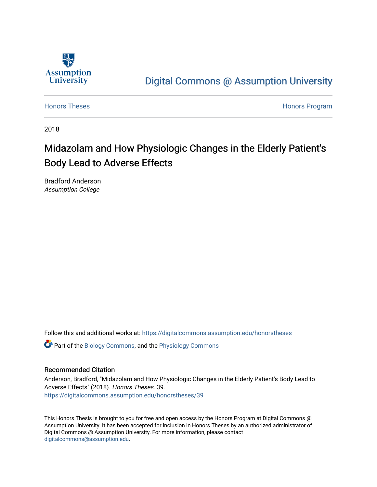

# [Digital Commons @ Assumption University](https://digitalcommons.assumption.edu/)

[Honors Theses](https://digitalcommons.assumption.edu/honorstheses) **Honors** Program

2018

# Midazolam and How Physiologic Changes in the Elderly Patient's Body Lead to Adverse Effects

Bradford Anderson Assumption College

Follow this and additional works at: [https://digitalcommons.assumption.edu/honorstheses](https://digitalcommons.assumption.edu/honorstheses?utm_source=digitalcommons.assumption.edu%2Fhonorstheses%2F39&utm_medium=PDF&utm_campaign=PDFCoverPages)

Part of the [Biology Commons,](http://network.bepress.com/hgg/discipline/41?utm_source=digitalcommons.assumption.edu%2Fhonorstheses%2F39&utm_medium=PDF&utm_campaign=PDFCoverPages) and the [Physiology Commons](http://network.bepress.com/hgg/discipline/69?utm_source=digitalcommons.assumption.edu%2Fhonorstheses%2F39&utm_medium=PDF&utm_campaign=PDFCoverPages) 

# Recommended Citation

Anderson, Bradford, "Midazolam and How Physiologic Changes in the Elderly Patient's Body Lead to Adverse Effects" (2018). Honors Theses. 39. [https://digitalcommons.assumption.edu/honorstheses/39](https://digitalcommons.assumption.edu/honorstheses/39?utm_source=digitalcommons.assumption.edu%2Fhonorstheses%2F39&utm_medium=PDF&utm_campaign=PDFCoverPages) 

This Honors Thesis is brought to you for free and open access by the Honors Program at Digital Commons @ Assumption University. It has been accepted for inclusion in Honors Theses by an authorized administrator of Digital Commons @ Assumption University. For more information, please contact [digitalcommons@assumption.edu](mailto:digitalcommons@assumption.edu).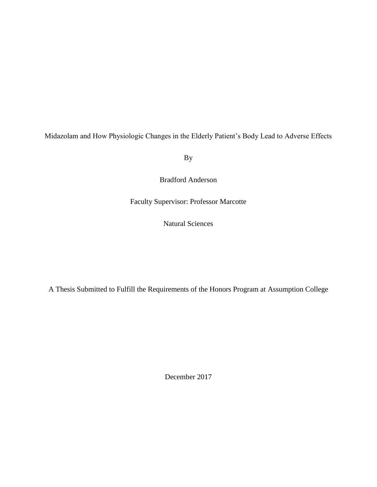Midazolam and How Physiologic Changes in the Elderly Patient's Body Lead to Adverse Effects

By

Bradford Anderson

Faculty Supervisor: Professor Marcotte

Natural Sciences

A Thesis Submitted to Fulfill the Requirements of the Honors Program at Assumption College

December 2017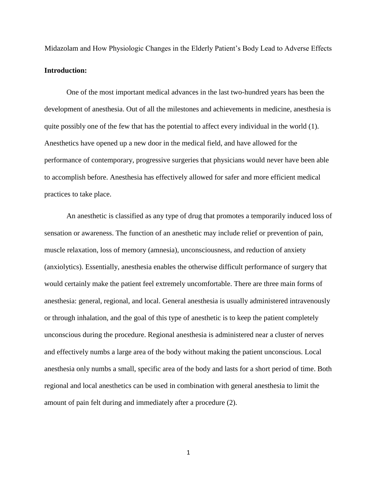Midazolam and How Physiologic Changes in the Elderly Patient's Body Lead to Adverse Effects **Introduction:**

One of the most important medical advances in the last two-hundred years has been the development of anesthesia. Out of all the milestones and achievements in medicine, anesthesia is quite possibly one of the few that has the potential to affect every individual in the world (1). Anesthetics have opened up a new door in the medical field, and have allowed for the performance of contemporary, progressive surgeries that physicians would never have been able to accomplish before. Anesthesia has effectively allowed for safer and more efficient medical practices to take place.

An anesthetic is classified as any type of drug that promotes a temporarily induced loss of sensation or awareness. The function of an anesthetic may include relief or prevention of pain, muscle relaxation, loss of memory (amnesia), unconsciousness, and reduction of anxiety (anxiolytics). Essentially, anesthesia enables the otherwise difficult performance of surgery that would certainly make the patient feel extremely uncomfortable. There are three main forms of anesthesia: general, regional, and local. General anesthesia is usually administered intravenously or through inhalation, and the goal of this type of anesthetic is to keep the patient completely unconscious during the procedure. Regional anesthesia is administered near a cluster of nerves and effectively numbs a large area of the body without making the patient unconscious. Local anesthesia only numbs a small, specific area of the body and lasts for a short period of time. Both regional and local anesthetics can be used in combination with general anesthesia to limit the amount of pain felt during and immediately after a procedure (2).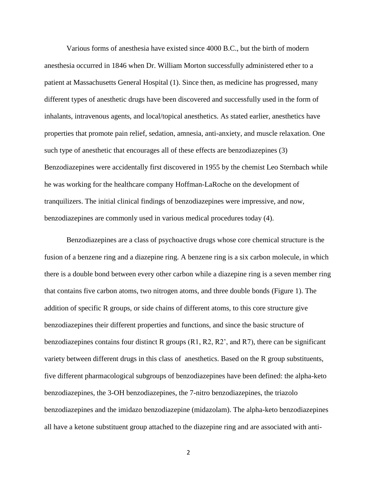Various forms of anesthesia have existed since 4000 B.C., but the birth of modern anesthesia occurred in 1846 when Dr. William Morton successfully administered ether to a patient at Massachusetts General Hospital (1). Since then, as medicine has progressed, many different types of anesthetic drugs have been discovered and successfully used in the form of inhalants, intravenous agents, and local/topical anesthetics. As stated earlier, anesthetics have properties that promote pain relief, sedation, amnesia, anti-anxiety, and muscle relaxation. One such type of anesthetic that encourages all of these effects are benzodiazepines (3) Benzodiazepines were accidentally first discovered in 1955 by the chemist Leo Sternbach while he was working for the healthcare company Hoffman-LaRoche on the development of tranquilizers. The initial clinical findings of benzodiazepines were impressive, and now, benzodiazepines are commonly used in various medical procedures today (4).

Benzodiazepines are a class of psychoactive drugs whose core chemical structure is the fusion of a benzene ring and a diazepine ring. A benzene ring is a six carbon molecule, in which there is a double bond between every other carbon while a diazepine ring is a seven member ring that contains five carbon atoms, two nitrogen atoms, and three double bonds (Figure 1). The addition of specific R groups, or side chains of different atoms, to this core structure give benzodiazepines their different properties and functions, and since the basic structure of benzodiazepines contains four distinct R groups (R1, R2, R2', and R7), there can be significant variety between different drugs in this class of anesthetics. Based on the R group substituents, five different pharmacological subgroups of benzodiazepines have been defined: the alpha-keto benzodiazepines, the 3-OH benzodiazepines, the 7-nitro benzodiazepines, the triazolo benzodiazepines and the imidazo benzodiazepine (midazolam). The alpha-keto benzodiazepines all have a ketone substituent group attached to the diazepine ring and are associated with anti-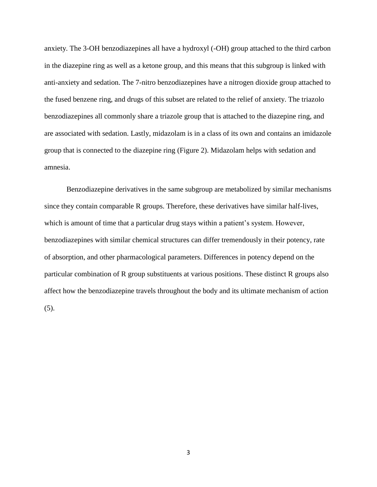anxiety. The 3-OH benzodiazepines all have a hydroxyl (-OH) group attached to the third carbon in the diazepine ring as well as a ketone group, and this means that this subgroup is linked with anti-anxiety and sedation. The 7-nitro benzodiazepines have a nitrogen dioxide group attached to the fused benzene ring, and drugs of this subset are related to the relief of anxiety. The triazolo benzodiazepines all commonly share a triazole group that is attached to the diazepine ring, and are associated with sedation. Lastly, midazolam is in a class of its own and contains an imidazole group that is connected to the diazepine ring (Figure 2). Midazolam helps with sedation and amnesia.

Benzodiazepine derivatives in the same subgroup are metabolized by similar mechanisms since they contain comparable R groups. Therefore, these derivatives have similar half-lives, which is amount of time that a particular drug stays within a patient's system. However, benzodiazepines with similar chemical structures can differ tremendously in their potency, rate of absorption, and other pharmacological parameters. Differences in potency depend on the particular combination of R group substituents at various positions. These distinct R groups also affect how the benzodiazepine travels throughout the body and its ultimate mechanism of action (5).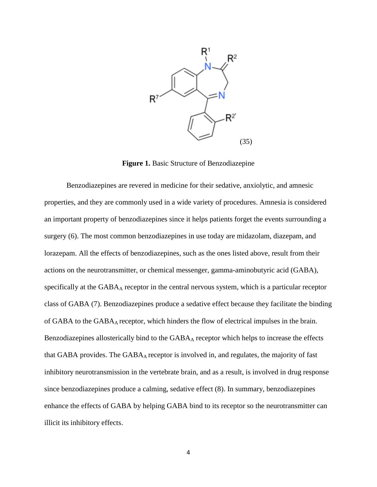

**Figure 1.** Basic Structure of Benzodiazepine

Benzodiazepines are revered in medicine for their sedative, anxiolytic, and amnesic properties, and they are commonly used in a wide variety of procedures. Amnesia is considered an important property of benzodiazepines since it helps patients forget the events surrounding a surgery (6). The most common benzodiazepines in use today are midazolam, diazepam, and lorazepam. All the effects of benzodiazepines, such as the ones listed above, result from their actions on the neurotransmitter, or chemical messenger, gamma-aminobutyric acid (GABA), specifically at the GABA<sub>A</sub> receptor in the central nervous system, which is a particular receptor class of GABA (7). Benzodiazepines produce a sedative effect because they facilitate the binding of GABA to the GABAA receptor, which hinders the flow of electrical impulses in the brain. Benzodiazepines allosterically bind to the  $GABA_A$  receptor which helps to increase the effects that GABA provides. The  $GABA_A$  receptor is involved in, and regulates, the majority of fast inhibitory neurotransmission in the vertebrate brain, and as a result, is involved in drug response since benzodiazepines produce a calming, sedative effect (8). In summary, benzodiazepines enhance the effects of GABA by helping GABA bind to its receptor so the neurotransmitter can illicit its inhibitory effects.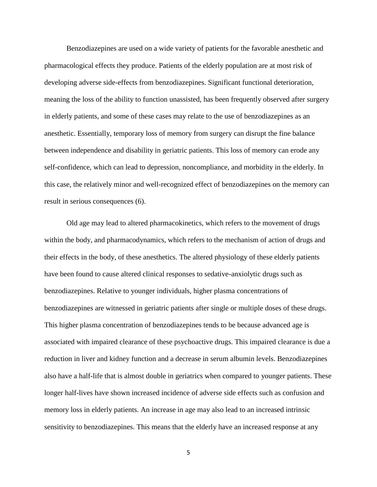Benzodiazepines are used on a wide variety of patients for the favorable anesthetic and pharmacological effects they produce. Patients of the elderly population are at most risk of developing adverse side-effects from benzodiazepines. Significant functional deterioration, meaning the loss of the ability to function unassisted, has been frequently observed after surgery in elderly patients, and some of these cases may relate to the use of benzodiazepines as an anesthetic. Essentially, temporary loss of memory from surgery can disrupt the fine balance between independence and disability in geriatric patients. This loss of memory can erode any self-confidence, which can lead to depression, noncompliance, and morbidity in the elderly. In this case, the relatively minor and well-recognized effect of benzodiazepines on the memory can result in serious consequences (6).

Old age may lead to altered pharmacokinetics, which refers to the movement of drugs within the body, and pharmacodynamics, which refers to the mechanism of action of drugs and their effects in the body, of these anesthetics. The altered physiology of these elderly patients have been found to cause altered clinical responses to sedative-anxiolytic drugs such as benzodiazepines. Relative to younger individuals, higher plasma concentrations of benzodiazepines are witnessed in geriatric patients after single or multiple doses of these drugs. This higher plasma concentration of benzodiazepines tends to be because advanced age is associated with impaired clearance of these psychoactive drugs. This impaired clearance is due a reduction in liver and kidney function and a decrease in serum albumin levels. Benzodiazepines also have a half-life that is almost double in geriatrics when compared to younger patients. These longer half-lives have shown increased incidence of adverse side effects such as confusion and memory loss in elderly patients. An increase in age may also lead to an increased intrinsic sensitivity to benzodiazepines. This means that the elderly have an increased response at any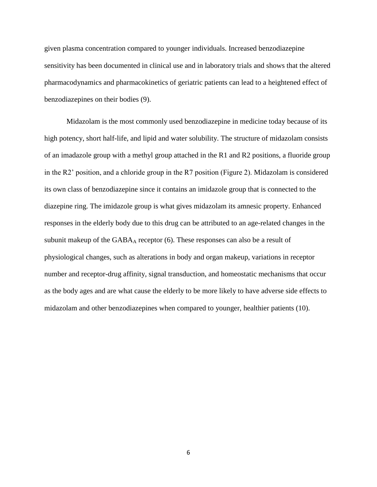given plasma concentration compared to younger individuals. Increased benzodiazepine sensitivity has been documented in clinical use and in laboratory trials and shows that the altered pharmacodynamics and pharmacokinetics of geriatric patients can lead to a heightened effect of benzodiazepines on their bodies (9).

Midazolam is the most commonly used benzodiazepine in medicine today because of its high potency, short half-life, and lipid and water solubility. The structure of midazolam consists of an imadazole group with a methyl group attached in the R1 and R2 positions, a fluoride group in the R2' position, and a chloride group in the R7 position (Figure 2). Midazolam is considered its own class of benzodiazepine since it contains an imidazole group that is connected to the diazepine ring. The imidazole group is what gives midazolam its amnesic property. Enhanced responses in the elderly body due to this drug can be attributed to an age-related changes in the subunit makeup of the  $GABA_A$  receptor (6). These responses can also be a result of physiological changes, such as alterations in body and organ makeup, variations in receptor number and receptor-drug affinity, signal transduction, and homeostatic mechanisms that occur as the body ages and are what cause the elderly to be more likely to have adverse side effects to midazolam and other benzodiazepines when compared to younger, healthier patients (10).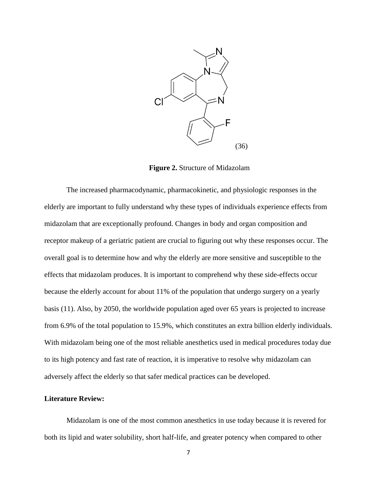

**Figure 2.** Structure of Midazolam

The increased pharmacodynamic, pharmacokinetic, and physiologic responses in the elderly are important to fully understand why these types of individuals experience effects from midazolam that are exceptionally profound. Changes in body and organ composition and receptor makeup of a geriatric patient are crucial to figuring out why these responses occur. The overall goal is to determine how and why the elderly are more sensitive and susceptible to the effects that midazolam produces. It is important to comprehend why these side-effects occur because the elderly account for about 11% of the population that undergo surgery on a yearly basis (11). Also, by 2050, the worldwide population aged over 65 years is projected to increase from 6.9% of the total population to 15.9%, which constitutes an extra billion elderly individuals. With midazolam being one of the most reliable anesthetics used in medical procedures today due to its high potency and fast rate of reaction, it is imperative to resolve why midazolam can adversely affect the elderly so that safer medical practices can be developed.

#### **Literature Review:**

Midazolam is one of the most common anesthetics in use today because it is revered for both its lipid and water solubility, short half-life, and greater potency when compared to other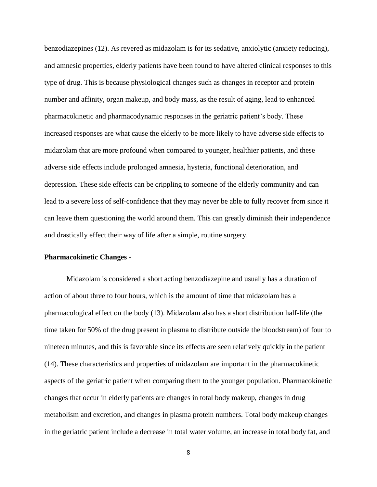benzodiazepines (12). As revered as midazolam is for its sedative, anxiolytic (anxiety reducing), and amnesic properties, elderly patients have been found to have altered clinical responses to this type of drug. This is because physiological changes such as changes in receptor and protein number and affinity, organ makeup, and body mass, as the result of aging, lead to enhanced pharmacokinetic and pharmacodynamic responses in the geriatric patient's body. These increased responses are what cause the elderly to be more likely to have adverse side effects to midazolam that are more profound when compared to younger, healthier patients, and these adverse side effects include prolonged amnesia, hysteria, functional deterioration, and depression. These side effects can be crippling to someone of the elderly community and can lead to a severe loss of self-confidence that they may never be able to fully recover from since it can leave them questioning the world around them. This can greatly diminish their independence and drastically effect their way of life after a simple, routine surgery.

#### **Pharmacokinetic Changes -**

Midazolam is considered a short acting benzodiazepine and usually has a duration of action of about three to four hours, which is the amount of time that midazolam has a pharmacological effect on the body (13). Midazolam also has a short distribution half-life (the time taken for 50% of the drug present in plasma to distribute outside the bloodstream) of four to nineteen minutes, and this is favorable since its effects are seen relatively quickly in the patient (14). These characteristics and properties of midazolam are important in the pharmacokinetic aspects of the geriatric patient when comparing them to the younger population. Pharmacokinetic changes that occur in elderly patients are changes in total body makeup, changes in drug metabolism and excretion, and changes in plasma protein numbers. Total body makeup changes in the geriatric patient include a decrease in total water volume, an increase in total body fat, and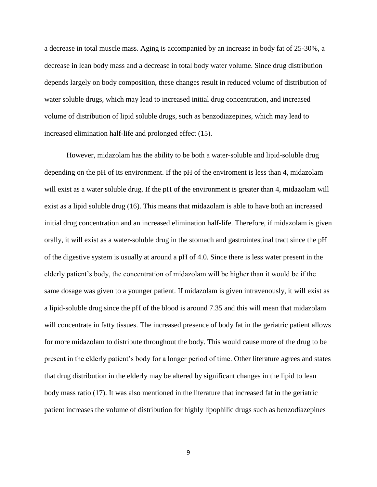a decrease in total muscle mass. Aging is accompanied by an increase in body fat of 25-30%, a decrease in lean body mass and a decrease in total body water volume. Since drug distribution depends largely on body composition, these changes result in reduced volume of distribution of water soluble drugs, which may lead to increased initial drug concentration, and increased volume of distribution of lipid soluble drugs, such as benzodiazepines, which may lead to increased elimination half-life and prolonged effect (15).

However, midazolam has the ability to be both a water-soluble and lipid-soluble drug depending on the pH of its environment. If the pH of the enviroment is less than 4, midazolam will exist as a water soluble drug. If the pH of the environment is greater than 4, midazolam will exist as a lipid soluble drug (16). This means that midazolam is able to have both an increased initial drug concentration and an increased elimination half-life. Therefore, if midazolam is given orally, it will exist as a water-soluble drug in the stomach and gastrointestinal tract since the pH of the digestive system is usually at around a pH of 4.0. Since there is less water present in the elderly patient's body, the concentration of midazolam will be higher than it would be if the same dosage was given to a younger patient. If midazolam is given intravenously, it will exist as a lipid-soluble drug since the pH of the blood is around 7.35 and this will mean that midazolam will concentrate in fatty tissues. The increased presence of body fat in the geriatric patient allows for more midazolam to distribute throughout the body. This would cause more of the drug to be present in the elderly patient's body for a longer period of time. Other literature agrees and states that drug distribution in the elderly may be altered by significant changes in the lipid to lean body mass ratio (17). It was also mentioned in the literature that increased fat in the geriatric patient increases the volume of distribution for highly lipophilic drugs such as benzodiazepines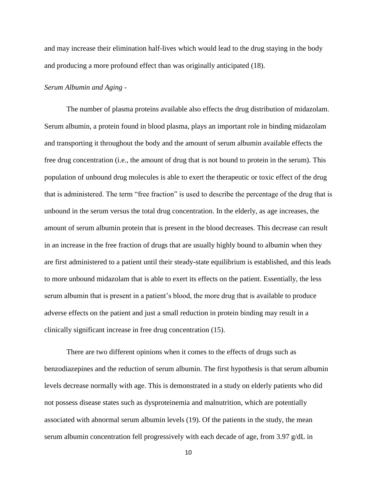and may increase their elimination half-lives which would lead to the drug staying in the body and producing a more profound effect than was originally anticipated (18).

#### *Serum Albumin and Aging -*

The number of plasma proteins available also effects the drug distribution of midazolam. Serum albumin, a protein found in blood plasma, plays an important role in binding midazolam and transporting it throughout the body and the amount of serum albumin available effects the free drug concentration (i.e., the amount of drug that is not bound to protein in the serum). This population of unbound drug molecules is able to exert the therapeutic or toxic effect of the drug that is administered. The term "free fraction" is used to describe the percentage of the drug that is unbound in the serum versus the total drug concentration. In the elderly, as age increases, the amount of serum albumin protein that is present in the blood decreases. This decrease can result in an increase in the free fraction of drugs that are usually highly bound to albumin when they are first administered to a patient until their steady-state equilibrium is established, and this leads to more unbound midazolam that is able to exert its effects on the patient. Essentially, the less serum albumin that is present in a patient's blood, the more drug that is available to produce adverse effects on the patient and just a small reduction in protein binding may result in a clinically significant increase in free drug concentration (15).

There are two different opinions when it comes to the effects of drugs such as benzodiazepines and the reduction of serum albumin. The first hypothesis is that serum albumin levels decrease normally with age. This is demonstrated in a study on elderly patients who did not possess disease states such as dysproteinemia and malnutrition, which are potentially associated with abnormal serum albumin levels (19). Of the patients in the study, the mean serum albumin concentration fell progressively with each decade of age, from 3.97  $g/dL$  in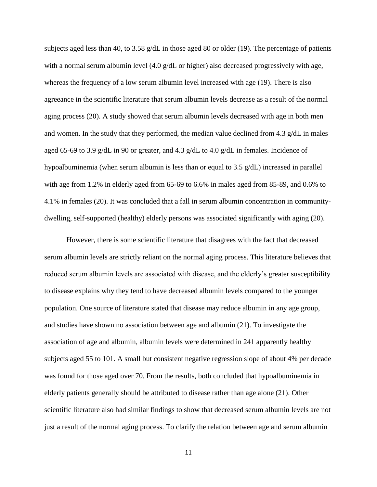subjects aged less than 40, to 3.58 g/dL in those aged 80 or older (19). The percentage of patients with a normal serum albumin level (4.0 g/dL or higher) also decreased progressively with age, whereas the frequency of a low serum albumin level increased with age (19). There is also agreeance in the scientific literature that serum albumin levels decrease as a result of the normal aging process (20). A study showed that serum albumin levels decreased with age in both men and women. In the study that they performed, the median value declined from 4.3  $g/dL$  in males aged 65-69 to 3.9 g/dL in 90 or greater, and 4.3 g/dL to 4.0 g/dL in females. Incidence of hypoalbuminemia (when serum albumin is less than or equal to 3.5 g/dL) increased in parallel with age from 1.2% in elderly aged from 65-69 to 6.6% in males aged from 85-89, and 0.6% to 4.1% in females (20). It was concluded that a fall in serum albumin concentration in communitydwelling, self-supported (healthy) elderly persons was associated significantly with aging (20).

However, there is some scientific literature that disagrees with the fact that decreased serum albumin levels are strictly reliant on the normal aging process. This literature believes that reduced serum albumin levels are associated with disease, and the elderly's greater susceptibility to disease explains why they tend to have decreased albumin levels compared to the younger population. One source of literature stated that disease may reduce albumin in any age group, and studies have shown no association between age and albumin (21). To investigate the association of age and albumin, albumin levels were determined in 241 apparently healthy subjects aged 55 to 101. A small but consistent negative regression slope of about 4% per decade was found for those aged over 70. From the results, both concluded that hypoalbuminemia in elderly patients generally should be attributed to disease rather than age alone (21). Other scientific literature also had similar findings to show that decreased serum albumin levels are not just a result of the normal aging process. To clarify the relation between age and serum albumin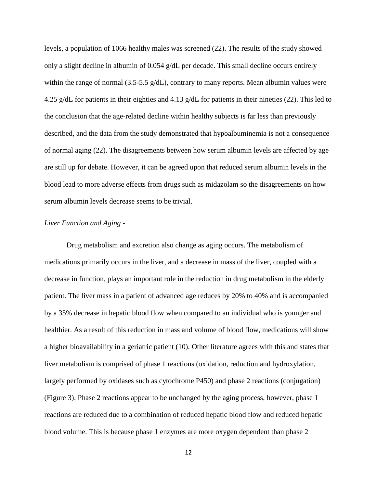levels, a population of 1066 healthy males was screened (22). The results of the study showed only a slight decline in albumin of 0.054 g/dL per decade. This small decline occurs entirely within the range of normal (3.5-5.5  $g/dL$ ), contrary to many reports. Mean albumin values were 4.25 g/dL for patients in their eighties and 4.13 g/dL for patients in their nineties (22). This led to the conclusion that the age-related decline within healthy subjects is far less than previously described, and the data from the study demonstrated that hypoalbuminemia is not a consequence of normal aging (22). The disagreements between how serum albumin levels are affected by age are still up for debate. However, it can be agreed upon that reduced serum albumin levels in the blood lead to more adverse effects from drugs such as midazolam so the disagreements on how serum albumin levels decrease seems to be trivial.

# *Liver Function and Aging -*

Drug metabolism and excretion also change as aging occurs. The metabolism of medications primarily occurs in the liver, and a decrease in mass of the liver, coupled with a decrease in function, plays an important role in the reduction in drug metabolism in the elderly patient. The liver mass in a patient of advanced age reduces by 20% to 40% and is accompanied by a 35% decrease in hepatic blood flow when compared to an individual who is younger and healthier. As a result of this reduction in mass and volume of blood flow, medications will show a higher bioavailability in a geriatric patient (10). Other literature agrees with this and states that liver metabolism is comprised of phase 1 reactions (oxidation, reduction and hydroxylation, largely performed by oxidases such as cytochrome P450) and phase 2 reactions (conjugation) (Figure 3). Phase 2 reactions appear to be unchanged by the aging process, however, phase 1 reactions are reduced due to a combination of reduced hepatic blood flow and reduced hepatic blood volume. This is because phase 1 enzymes are more oxygen dependent than phase 2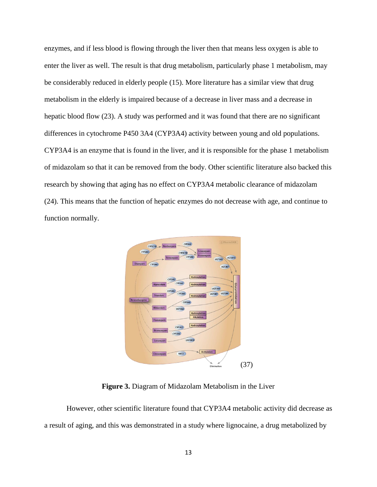enzymes, and if less blood is flowing through the liver then that means less oxygen is able to enter the liver as well. The result is that drug metabolism, particularly phase 1 metabolism, may be considerably reduced in elderly people (15). More literature has a similar view that drug metabolism in the elderly is impaired because of a decrease in liver mass and a decrease in hepatic blood flow (23). A study was performed and it was found that there are no significant differences in cytochrome P450 3A4 (CYP3A4) activity between young and old populations. CYP3A4 is an enzyme that is found in the liver, and it is responsible for the phase 1 metabolism of midazolam so that it can be removed from the body. Other scientific literature also backed this research by showing that aging has no effect on CYP3A4 metabolic clearance of midazolam (24). This means that the function of hepatic enzymes do not decrease with age, and continue to function normally.



**Figure 3.** Diagram of Midazolam Metabolism in the Liver

However, other scientific literature found that CYP3A4 metabolic activity did decrease as a result of aging, and this was demonstrated in a study where lignocaine, a drug metabolized by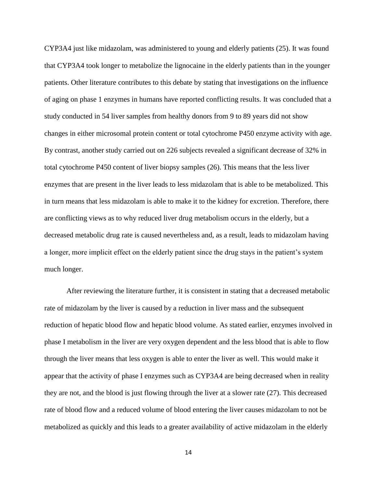CYP3A4 just like midazolam, was administered to young and elderly patients (25). It was found that CYP3A4 took longer to metabolize the lignocaine in the elderly patients than in the younger patients. Other literature contributes to this debate by stating that investigations on the influence of aging on phase 1 enzymes in humans have reported conflicting results. It was concluded that a study conducted in 54 liver samples from healthy donors from 9 to 89 years did not show changes in either microsomal protein content or total cytochrome P450 enzyme activity with age. By contrast, another study carried out on 226 subjects revealed a significant decrease of 32% in total cytochrome P450 content of liver biopsy samples (26). This means that the less liver enzymes that are present in the liver leads to less midazolam that is able to be metabolized. This in turn means that less midazolam is able to make it to the kidney for excretion. Therefore, there are conflicting views as to why reduced liver drug metabolism occurs in the elderly, but a decreased metabolic drug rate is caused nevertheless and, as a result, leads to midazolam having a longer, more implicit effect on the elderly patient since the drug stays in the patient's system much longer.

After reviewing the literature further, it is consistent in stating that a decreased metabolic rate of midazolam by the liver is caused by a reduction in liver mass and the subsequent reduction of hepatic blood flow and hepatic blood volume. As stated earlier, enzymes involved in phase I metabolism in the liver are very oxygen dependent and the less blood that is able to flow through the liver means that less oxygen is able to enter the liver as well. This would make it appear that the activity of phase I enzymes such as CYP3A4 are being decreased when in reality they are not, and the blood is just flowing through the liver at a slower rate (27). This decreased rate of blood flow and a reduced volume of blood entering the liver causes midazolam to not be metabolized as quickly and this leads to a greater availability of active midazolam in the elderly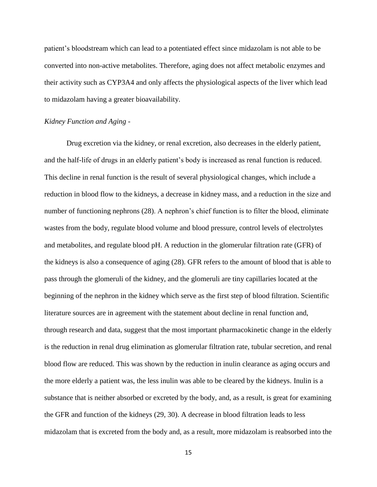patient's bloodstream which can lead to a potentiated effect since midazolam is not able to be converted into non-active metabolites. Therefore, aging does not affect metabolic enzymes and their activity such as CYP3A4 and only affects the physiological aspects of the liver which lead to midazolam having a greater bioavailability.

## *Kidney Function and Aging -*

Drug excretion via the kidney, or renal excretion, also decreases in the elderly patient, and the half-life of drugs in an elderly patient's body is increased as renal function is reduced. This decline in renal function is the result of several physiological changes, which include a reduction in blood flow to the kidneys, a decrease in kidney mass, and a reduction in the size and number of functioning nephrons (28). A nephron's chief function is to filter the blood, eliminate wastes from the body, regulate blood volume and blood pressure, control levels of electrolytes and metabolites, and regulate blood pH. A reduction in the glomerular filtration rate (GFR) of the kidneys is also a consequence of aging (28). GFR refers to the amount of blood that is able to pass through the glomeruli of the kidney, and the glomeruli are tiny capillaries located at the beginning of the nephron in the kidney which serve as the first step of blood filtration. Scientific literature sources are in agreement with the statement about decline in renal function and, through research and data, suggest that the most important pharmacokinetic change in the elderly is the reduction in renal drug elimination as glomerular filtration rate, tubular secretion, and renal blood flow are reduced. This was shown by the reduction in inulin clearance as aging occurs and the more elderly a patient was, the less inulin was able to be cleared by the kidneys. Inulin is a substance that is neither absorbed or excreted by the body, and, as a result, is great for examining the GFR and function of the kidneys (29, 30). A decrease in blood filtration leads to less midazolam that is excreted from the body and, as a result, more midazolam is reabsorbed into the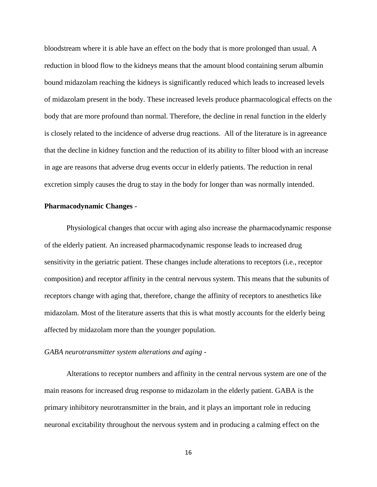bloodstream where it is able have an effect on the body that is more prolonged than usual. A reduction in blood flow to the kidneys means that the amount blood containing serum albumin bound midazolam reaching the kidneys is significantly reduced which leads to increased levels of midazolam present in the body. These increased levels produce pharmacological effects on the body that are more profound than normal. Therefore, the decline in renal function in the elderly is closely related to the incidence of adverse drug reactions. All of the literature is in agreeance that the decline in kidney function and the reduction of its ability to filter blood with an increase in age are reasons that adverse drug events occur in elderly patients. The reduction in renal excretion simply causes the drug to stay in the body for longer than was normally intended.

#### **Pharmacodynamic Changes -**

Physiological changes that occur with aging also increase the pharmacodynamic response of the elderly patient. An increased pharmacodynamic response leads to increased drug sensitivity in the geriatric patient. These changes include alterations to receptors (i.e., receptor composition) and receptor affinity in the central nervous system. This means that the subunits of receptors change with aging that, therefore, change the affinity of receptors to anesthetics like midazolam. Most of the literature asserts that this is what mostly accounts for the elderly being affected by midazolam more than the younger population.

# *GABA neurotransmitter system alterations and aging -*

Alterations to receptor numbers and affinity in the central nervous system are one of the main reasons for increased drug response to midazolam in the elderly patient. GABA is the primary inhibitory neurotransmitter in the brain, and it plays an important role in reducing neuronal excitability throughout the nervous system and in producing a calming effect on the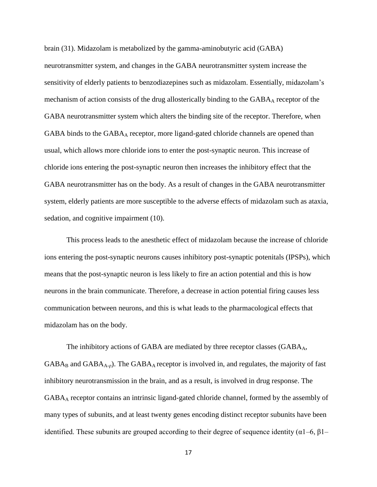brain (31). Midazolam is metabolized by the gamma-aminobutyric acid (GABA) neurotransmitter system, and changes in the GABA neurotransmitter system increase the sensitivity of elderly patients to benzodiazepines such as midazolam. Essentially, midazolam's mechanism of action consists of the drug allosterically binding to the  $GABA_A$  receptor of the GABA neurotransmitter system which alters the binding site of the receptor. Therefore, when GABA binds to the GABA<sub>A</sub> receptor, more ligand-gated chloride channels are opened than usual, which allows more chloride ions to enter the post-synaptic neuron. This increase of chloride ions entering the post-synaptic neuron then increases the inhibitory effect that the GABA neurotransmitter has on the body. As a result of changes in the GABA neurotransmitter system, elderly patients are more susceptible to the adverse effects of midazolam such as ataxia, sedation, and cognitive impairment (10).

This process leads to the anesthetic effect of midazolam because the increase of chloride ions entering the post-synaptic neurons causes inhibitory post-synaptic potenitals (IPSPs), which means that the post-synaptic neuron is less likely to fire an action potential and this is how neurons in the brain communicate. Therefore, a decrease in action potential firing causes less communication between neurons, and this is what leads to the pharmacological effects that midazolam has on the body.

The inhibitory actions of GABA are mediated by three receptor classes  $(GABA_A,$  $GABA_B$  and  $GABA_{A-D}$ ). The  $GABA_A$  receptor is involved in, and regulates, the majority of fast inhibitory neurotransmission in the brain, and as a result, is involved in drug response. The GABA<sup>A</sup> receptor contains an intrinsic ligand-gated chloride channel, formed by the assembly of many types of subunits, and at least twenty genes encoding distinct receptor subunits have been identified. These subunits are grouped according to their degree of sequence identity ( $\alpha$ 1–6,  $\beta$ 1–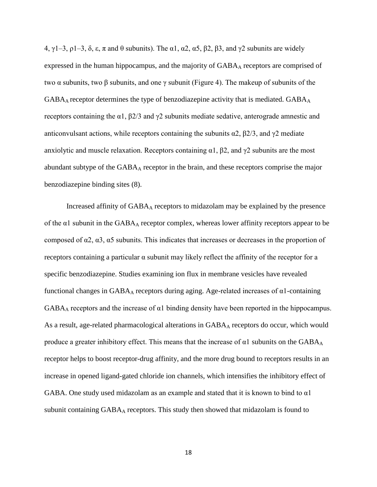4, γ1–3, ρ1–3, δ, ε, π and θ subunits). The α1, α2, α5, β2, β3, and γ2 subunits are widely expressed in the human hippocampus, and the majority of  $GABA_A$  receptors are comprised of two  $\alpha$  subunits, two  $\beta$  subunits, and one  $\gamma$  subunit (Figure 4). The makeup of subunits of the  $GABA_A$  receptor determines the type of benzodiazepine activity that is mediated.  $GABA_A$ receptors containing the α1, β2/3 and γ2 subunits mediate sedative, anterograde amnestic and anticonvulsant actions, while receptors containing the subunits  $\alpha$ 2,  $\beta$ 2/3, and  $\gamma$ 2 mediate anxiolytic and muscle relaxation. Receptors containing  $\alpha$ 1,  $\beta$ 2, and  $\gamma$ 2 subunits are the most abundant subtype of the GABA<sub>A</sub> receptor in the brain, and these receptors comprise the major benzodiazepine binding sites (8).

Increased affinity of  $GABA_A$  receptors to midazolam may be explained by the presence of the  $\alpha$ 1 subunit in the GABA<sub>A</sub> receptor complex, whereas lower affinity receptors appear to be composed of α2, α3, α5 subunits. This indicates that increases or decreases in the proportion of receptors containing a particular α subunit may likely reflect the affinity of the receptor for a specific benzodiazepine. Studies examining ion flux in membrane vesicles have revealed functional changes in  $GABA_A$  receptors during aging. Age-related increases of  $\alpha$ 1-containing GABA<sup>A</sup> receptors and the increase of α1 binding density have been reported in the hippocampus. As a result, age-related pharmacological alterations in  $GABA_A$  receptors do occur, which would produce a greater inhibitory effect. This means that the increase of  $\alpha$ 1 subunits on the GABA<sub>A</sub> receptor helps to boost receptor-drug affinity, and the more drug bound to receptors results in an increase in opened ligand-gated chloride ion channels, which intensifies the inhibitory effect of GABA. One study used midazolam as an example and stated that it is known to bind to  $\alpha$ 1 subunit containing  $GABA_A$  receptors. This study then showed that midazolam is found to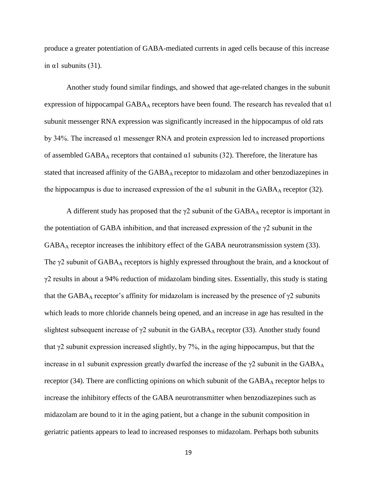produce a greater potentiation of GABA-mediated currents in aged cells because of this increase in  $\alpha$ 1 subunits (31).

Another study found similar findings, and showed that age-related changes in the subunit expression of hippocampal GABA<sub>A</sub> receptors have been found. The research has revealed that  $\alpha$ 1 subunit messenger RNA expression was significantly increased in the hippocampus of old rats by 34%. The increased α1 messenger RNA and protein expression led to increased proportions of assembled  $GABA_A$  receptors that contained  $\alpha$ 1 subunits (32). Therefore, the literature has stated that increased affinity of the  $GABA_A$  receptor to midazolam and other benzodiazepines in the hippocampus is due to increased expression of the  $\alpha$ 1 subunit in the GABA<sub>A</sub> receptor (32).

A different study has proposed that the  $\gamma$ 2 subunit of the GABA<sub>A</sub> receptor is important in the potentiation of GABA inhibition, and that increased expression of the  $\gamma$ 2 subunit in the GABA<sup>A</sup> receptor increases the inhibitory effect of the GABA neurotransmission system (33). The  $\gamma$ 2 subunit of GABA<sub>A</sub> receptors is highly expressed throughout the brain, and a knockout of  $\gamma$ 2 results in about a 94% reduction of midazolam binding sites. Essentially, this study is stating that the GABA<sub>A</sub> receptor's affinity for midazolam is increased by the presence of  $\gamma$ 2 subunits which leads to more chloride channels being opened, and an increase in age has resulted in the slightest subsequent increase of  $\gamma$ 2 subunit in the GABA<sub>A</sub> receptor (33). Another study found that  $\gamma$ 2 subunit expression increased slightly, by 7%, in the aging hippocampus, but that the increase in  $\alpha$ 1 subunit expression greatly dwarfed the increase of the  $\gamma$ 2 subunit in the GABA<sub>A</sub> receptor  $(34)$ . There are conflicting opinions on which subunit of the  $GABA_A$  receptor helps to increase the inhibitory effects of the GABA neurotransmitter when benzodiazepines such as midazolam are bound to it in the aging patient, but a change in the subunit composition in geriatric patients appears to lead to increased responses to midazolam. Perhaps both subunits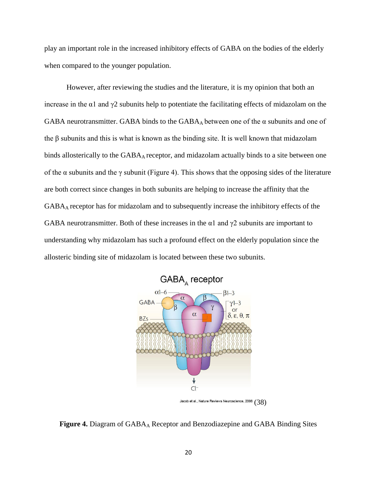play an important role in the increased inhibitory effects of GABA on the bodies of the elderly when compared to the younger population.

However, after reviewing the studies and the literature, it is my opinion that both an increase in the  $\alpha$ 1 and  $\gamma$ 2 subunits help to potentiate the facilitating effects of midazolam on the GABA neurotransmitter. GABA binds to the  $GABA_A$  between one of the  $\alpha$  subunits and one of the  $\beta$  subunits and this is what is known as the binding site. It is well known that midazolam binds allosterically to the  $GABA_A$  receptor, and midazolam actually binds to a site between one of the  $\alpha$  subunits and the  $\gamma$  subunit (Figure 4). This shows that the opposing sides of the literature are both correct since changes in both subunits are helping to increase the affinity that the GABAA receptor has for midazolam and to subsequently increase the inhibitory effects of the GABA neurotransmitter. Both of these increases in the  $\alpha$ 1 and  $\gamma$ 2 subunits are important to understanding why midazolam has such a profound effect on the elderly population since the allosteric binding site of midazolam is located between these two subunits.



Jacob et al., Nature Reviews Neuroscience, 2008  $(38)$ 



20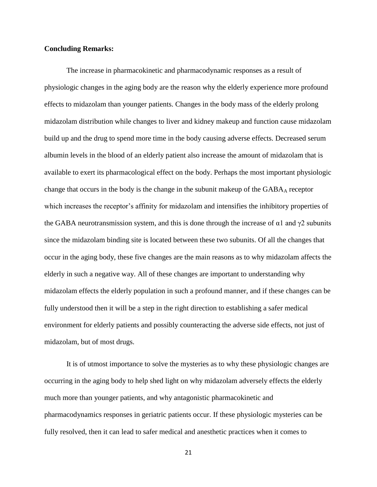#### **Concluding Remarks:**

The increase in pharmacokinetic and pharmacodynamic responses as a result of physiologic changes in the aging body are the reason why the elderly experience more profound effects to midazolam than younger patients. Changes in the body mass of the elderly prolong midazolam distribution while changes to liver and kidney makeup and function cause midazolam build up and the drug to spend more time in the body causing adverse effects. Decreased serum albumin levels in the blood of an elderly patient also increase the amount of midazolam that is available to exert its pharmacological effect on the body. Perhaps the most important physiologic change that occurs in the body is the change in the subunit makeup of the  $GABA_A$  receptor which increases the receptor's affinity for midazolam and intensifies the inhibitory properties of the GABA neurotransmission system, and this is done through the increase of  $\alpha$ 1 and  $\gamma$ 2 subunits since the midazolam binding site is located between these two subunits. Of all the changes that occur in the aging body, these five changes are the main reasons as to why midazolam affects the elderly in such a negative way. All of these changes are important to understanding why midazolam effects the elderly population in such a profound manner, and if these changes can be fully understood then it will be a step in the right direction to establishing a safer medical environment for elderly patients and possibly counteracting the adverse side effects, not just of midazolam, but of most drugs.

It is of utmost importance to solve the mysteries as to why these physiologic changes are occurring in the aging body to help shed light on why midazolam adversely effects the elderly much more than younger patients, and why antagonistic pharmacokinetic and pharmacodynamics responses in geriatric patients occur. If these physiologic mysteries can be fully resolved, then it can lead to safer medical and anesthetic practices when it comes to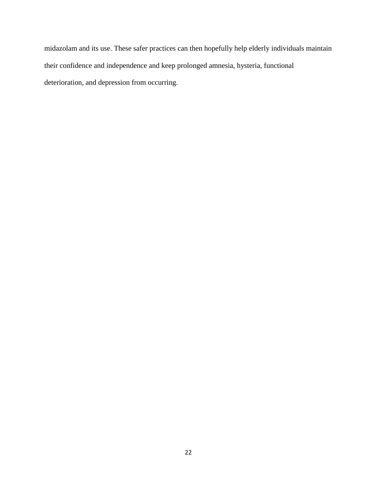midazolam and its use. These safer practices can then hopefully help elderly individuals maintain their confidence and independence and keep prolonged amnesia, hysteria, functional deterioration, and depression from occurring.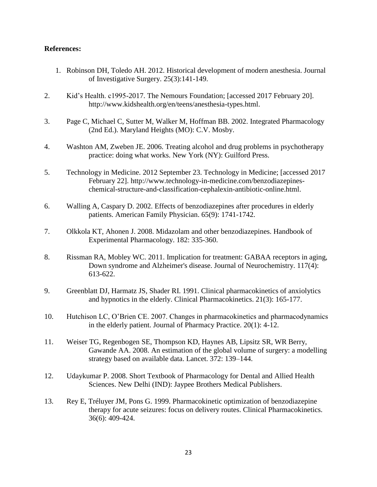# **References:**

- 1. Robinson DH, Toledo AH. 2012. Historical development of modern anesthesia. Journal of Investigative Surgery. 25(3):141-149.
- 2. Kid's Health. c1995-2017. The Nemours Foundation; [accessed 2017 February 20]. [http://www.kidshealth.org/en/teens/anesthesia-types.html.](http://www.kidshealth.org/en/teens/anesthesia-types.html)
- 3. Page C, Michael C, Sutter M, Walker M, Hoffman BB. 2002. Integrated Pharmacology (2nd Ed.). Maryland Heights (MO): C.V. Mosby.
- 4. Washton AM, Zweben JE. 2006. Treating alcohol and drug problems in psychotherapy practice: doing what works. New York (NY): Guilford Press.
- 5. Technology in Medicine. 2012 September 23. Technology in Medicine; [accessed 2017 February 22]. [http://www.technology-in-medicine.com/benzodiazepines](http://www.technology-in-medicine.com/benzodiazepines-chemical-structure-and-classification-cephalexin-antibiotic-online.html)[chemical-structure-and-classification-cephalexin-antibiotic-online.html.](http://www.technology-in-medicine.com/benzodiazepines-chemical-structure-and-classification-cephalexin-antibiotic-online.html)
- 6. Walling A, Caspary D. 2002. Effects of benzodiazepines after procedures in elderly patients. American Family Physician. 65(9): 1741-1742.
- 7. Olkkola KT, Ahonen J. 2008. Midazolam and other benzodiazepines. Handbook of Experimental Pharmacology. 182: 335-360.
- 8. Rissman RA, Mobley WC. 2011. Implication for treatment: GABAA receptors in aging, Down syndrome and Alzheimer's disease. Journal of Neurochemistry. 117(4): 613-622.
- 9. Greenblatt DJ, Harmatz JS, Shader RI. 1991. Clinical pharmacokinetics of anxiolytics and hypnotics in the elderly. Clinical Pharmacokinetics. 21(3): 165-177.
- 10. Hutchison LC, O'Brien CE. 2007. Changes in pharmacokinetics and pharmacodynamics in the elderly patient. Journal of Pharmacy Practice. 20(1): 4-12.
- 11. Weiser TG, Regenbogen SE, Thompson KD, Haynes AB, Lipsitz SR, WR Berry, Gawande AA. 2008. An estimation of the global volume of surgery: a modelling strategy based on available data. Lancet. 372: 139–144.
- 12. Udaykumar P. 2008. Short Textbook of Pharmacology for Dental and Allied Health Sciences. New Delhi (IND): Jaypee Brothers Medical Publishers.
- 13. Rey E, Tréluyer JM, Pons G. 1999. Pharmacokinetic optimization of benzodiazepine therapy for acute seizures: focus on delivery routes. Clinical Pharmacokinetics. 36(6): 409-424.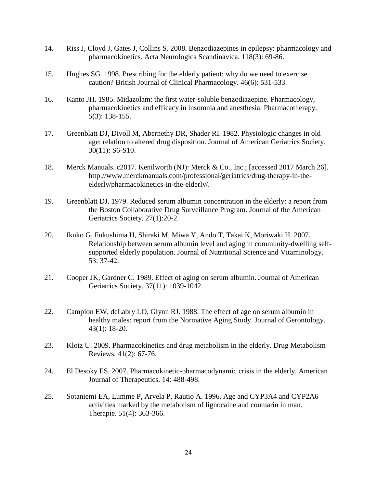- 14. Riss J, Cloyd J, Gates J, Collins S. 2008. Benzodiazepines in epilepsy: pharmacology and pharmacokinetics. Acta Neurologica Scandinavica. 118(3): 69-86.
- 15. Hughes SG. 1998. Prescribing for the elderly patient: why do we need to exercise caution? British Journal of Clinical Pharmacology. 46(6): 531-533.
- 16. Kanto JH. 1985. Midazolam: the first water-soluble benzodiazepine. Pharmacology, pharmacokinetics and efficacy in insomnia and anesthesia. Pharmacotherapy. 5(3): 138-155.
- 17. Greenblatt DJ, Divoll M, Abernethy DR, Shader RI. 1982. Physiologic changes in old age: relation to altered drug disposition. Journal of American Geriatrics Society. 30(11): S6-S10.
- 18. Merck Manuals. c2017. Kenilworth (NJ): Merck & Co., Inc.; [accessed 2017 March 26]. http://www.merckmanuals.com/professional/geriatrics/drug-therapy-in-theelderly/pharmacokinetics-in-the-elderly/.
- 19. Greenblatt DJ. 1979. Reduced serum albumin concentration in the elderly: a report from the Boston Collaborative Drug Surveillance Program. Journal of the American Geriatrics Society. 27(1):20-2.
- 20. Ikuko G, Fukushima H, Shiraki M, Miwa Y, Ando T, Takai K, Moriwaki H. 2007. Relationship between serum albumin level and aging in community-dwelling selfsupported elderly population. Journal of Nutritional Science and Vitaminology. 53: 37-42.
- 21. Cooper JK, Gardner C. 1989. Effect of aging on serum albumin. Journal of American Geriatrics Society. 37(11): 1039-1042.
- 22. Campion EW, deLabry LO, Glynn RJ. 1988. The effect of age on serum albumin in healthy males: report from the Normative Aging Study. Journal of Gerontology. 43(1): 18-20.
- 23. Klotz U. 2009. Pharmacokinetics and drug metabolism in the elderly. Drug Metabolism Reviews. 41(2): 67-76.
- 24. El Desoky ES. 2007. Pharmacokinetic-pharmacodynamic crisis in the elderly. American Journal of Therapeutics. 14: 488-498.
- 25. Sotaniemi EA, Lumme P, Arvela P, Rautio A. 1996. Age and CYP3A4 and CYP2A6 activities marked by the metabolism of lignocaine and coumarin in man. Therapie. 51(4): 363-366.